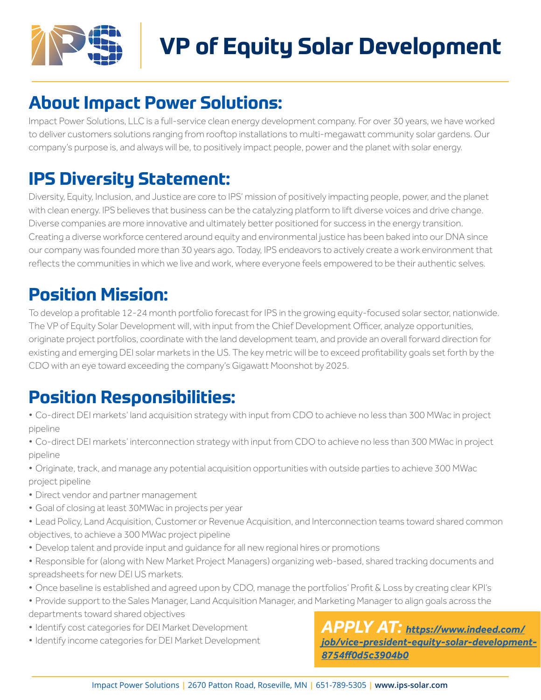

# **VP of Equity Solar Development**

#### **About Impact Power Solutions:**

Impact Power Solutions, LLC is a full-service clean energy development company. For over 30 years, we have worked to deliver customers solutions ranging from rooftop installations to multi-megawatt community solar gardens. Our company's purpose is, and always will be, to positively impact people, power and the planet with solar energy.

#### **IPS Diversity Statement:**

Diversity, Equity, Inclusion, and Justice are core to IPS' mission of positively impacting people, power, and the planet with clean energy. IPS believes that business can be the catalyzing platform to lift diverse voices and drive change. Diverse companies are more innovative and ultimately better positioned for success in the energy transition. Creating a diverse workforce centered around equity and environmental justice has been baked into our DNA since our company was founded more than 30 years ago. Today, IPS endeavors to actively create a work environment that reflects the communities in which we live and work, where everyone feels empowered to be their authentic selves.

#### **Position Mission:**

To develop a profitable 12-24 month portfolio forecast for IPS in the growing equity-focused solar sector, nationwide. The VP of Equity Solar Development will, with input from the Chief Development Officer, analyze opportunities, originate project portfolios, coordinate with the land development team, and provide an overall forward direction for existing and emerging DEI solar markets in the US. The key metric will be to exceed profitability goals set forth by the CDO with an eye toward exceeding the company's Gigawatt Moonshot by 2025.

### **Position Responsibilities:**

- *•* Co-direct DEI markets' land acquisition strategy with input from CDO to achieve no less than 300 MWac in project pipeline
- *•* Co-direct DEI markets' interconnection strategy with input from CDO to achieve no less than 300 MWac in project pipeline
- *•* Originate, track, and manage any potential acquisition opportunities with outside parties to achieve 300 MWac project pipeline
- *•* Direct vendor and partner management
- *•* Goal of closing at least 30MWac in projects per year
- *•* Lead Policy, Land Acquisition, Customer or Revenue Acquisition, and Interconnection teams toward shared common objectives, to achieve a 300 MWac project pipeline
- Develop talent and provide input and quidance for all new regional hires or promotions
- *•* Responsible for (along with New Market Project Managers) organizing web-based, shared tracking documents and spreadsheets for new DEI US markets.
- *•* Once baseline is established and agreed upon by CDO, manage the portfolios' Profit & Loss by creating clear KPI's
- *•* Provide support to the Sales Manager, Land Acquisition Manager, and Marketing Manager to align goals across the
- departments toward shared objectives
- *•* Identify cost categories for DEI Market Development
- *•* Identify income categories for DEI Market Development

*APPLY AT: [https://www.indeed.com/](https://www.indeed.com/job/vice-president-equity-solar-development-8754ff0d5c3904b0) [job/vice-president-equity-solar-development-](https://www.indeed.com/job/vice-president-equity-solar-development-8754ff0d5c3904b0)[8754ff0d5c3904b0](https://www.indeed.com/job/vice-president-equity-solar-development-8754ff0d5c3904b0)*